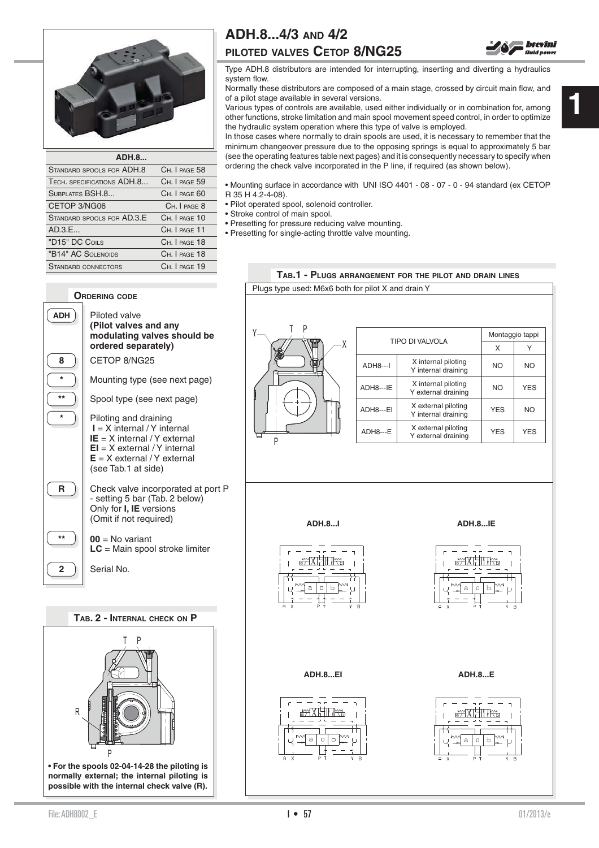

| <b>ADH.8</b>               |               |
|----------------------------|---------------|
| STANDARD SPOOLS FOR ADH.8  | CH. I PAGE 58 |
| TECH. SPECIFICATIONS ADH.8 | CH. I PAGE 59 |
| SUBPLATES BSH.8            | CH. I PAGE 60 |
| CETOP 3/NG06               | CH. I PAGE 8  |
| STANDARD SPOOLS FOR AD.3.E | CH. I PAGE 10 |
| AD.3.E                     | CH. I PAGE 11 |
| "D15" DC COILS             | CH. I PAGE 18 |
| "B14" AC SOLENOIDS         | CH, I PAGE 18 |
| <b>STANDARD CONNECTORS</b> | CH. I PAGE 19 |

## **ADH.8...4/3 AND 4/2**

## **PILOTED VALVES CETOP 8/NG25**



Normally these distributors are composed of a main stage, crossed by circuit main flow, and of a pilot stage available in several versions.

Various types of controls are available, used either individually or in combination for, among other functions, stroke limitation and main spool movement speed control, in order to optimize the hydraulic system operation where this type of valve is employed.

In those cases where normally to drain spools are used, it is necessary to remember that the minimum changeover pressure due to the opposing springs is equal to approximately 5 bar (see the operating features table next pages) and it is consequently necessary to specify when ordering the check valve incorporated in the P line, if required (as shown below).

• Mounting surface in accordance with UNI ISO 4401 - 08 - 07 - 0 - 94 standard (ex CETOP R 35 H 4.2-4-08).

- Pilot operated spool, solenoid controller.
- Stroke control of main spool.
- Presetting for pressure reducing valve mounting.
- Presetting for single-acting throttle valve mounting.



## **TAB.1 - PLUGS ARRANGEMENT FOR THE PILOT AND DRAIN LINES**



brevini **fluid power** 

P

R

**• For the spools 02-04-14-28 the piloting is normally external; the internal piloting is possible with the internal check valve (R).**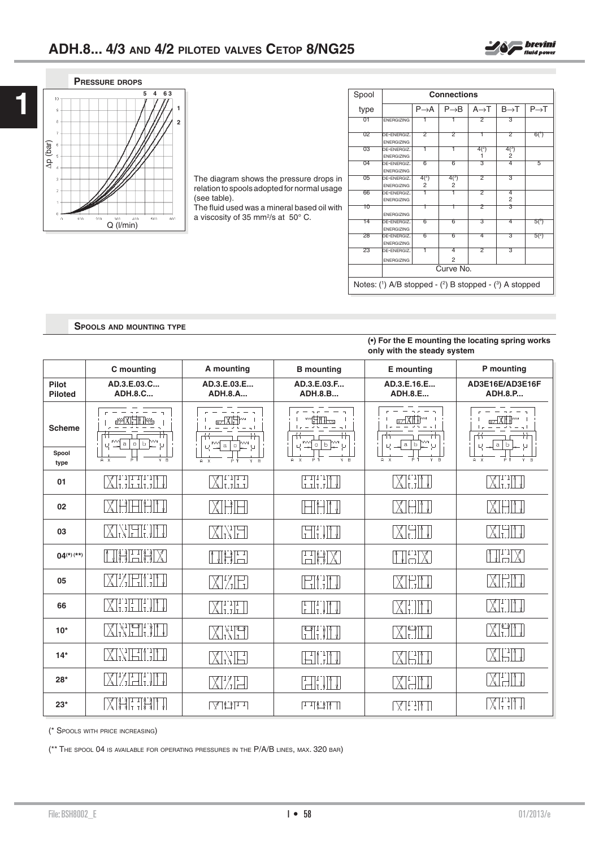



**1**

The diagram shows the pressure drops in relation to spools adopted for normal usage (see table).

The fluid used was a mineral based oil with a viscosity of 35 mm<sup>2</sup>/s at 50° C.

| Spool                                                        | <b>Connections</b>               |                   |                     |                   |                             |                   |
|--------------------------------------------------------------|----------------------------------|-------------------|---------------------|-------------------|-----------------------------|-------------------|
| type                                                         |                                  | $P \rightarrow A$ | $P \rightarrow B$   | $A \rightarrow T$ | $B\rightarrow T$            | $P \rightarrow T$ |
| 01                                                           | <b>ENERGIZING</b>                |                   |                     | $\overline{2}$    | $\overline{3}$              |                   |
| 02                                                           | DE-ENERGIZ.<br><b>ENERGIZING</b> | 2                 | 2                   | T                 | 2                           | 6(1)              |
| 03                                                           | DE-ENERGIZ.<br><b>ENERGIZING</b> | T                 | T                   | $4^{2}$<br>1      | $4^{(3)}$<br>$\overline{2}$ |                   |
| 04                                                           | DE-ENERGIZ.<br><b>ENERGIZING</b> | 6                 | 6                   | 3                 | 4                           | 5                 |
| 05                                                           | DE-ENERGIZ.<br><b>ENERGIZING</b> | $4^{2}$<br>2      | $4^{3}$<br>2        | 2                 | З                           |                   |
| 66                                                           | DE-ENERGIZ.<br><b>ENERGIZING</b> | 1                 |                     | 2                 | 4<br>$\overline{2}$         |                   |
| 10                                                           | <b>ENERGIZING</b>                | т                 | ı                   | 2                 | З                           |                   |
| 14                                                           | DE-ENERGIZ.<br><b>ENERGIZING</b> | 6                 | 6                   | З                 | 4                           | 5(3)              |
| 28                                                           | DE-ENERGIZ.<br><b>ENERGIZING</b> | 6                 | 6                   | 4                 | 3                           | 5(2)              |
| 23                                                           | DE-ENERGIZ.<br><b>ENERGIZING</b> | T                 | 4<br>$\overline{2}$ | 2                 | 3                           |                   |
|                                                              | Curve No.                        |                   |                     |                   |                             |                   |
| Notes: $(1)$ A/B stopped - $(2)$ B stopped - $(3)$ A stopped |                                  |                   |                     |                   |                             |                   |

**SPOOLS AND MOUNTING TYPE**

#### **(•) For the E mounting the locating spring works only with the steady system**

|                         | C mounting                                    | A mounting                      | <b>B</b> mounting                                                                                                 | E mounting                                          | P mounting                        |
|-------------------------|-----------------------------------------------|---------------------------------|-------------------------------------------------------------------------------------------------------------------|-----------------------------------------------------|-----------------------------------|
| Pilot<br><b>Piloted</b> | AD.3.E.03.C<br><b>ADH.8.C</b>                 | AD.3.E.03.E<br><b>ADH.8.A</b>   | AD.3.E.03.F<br><b>ADH.8.B</b>                                                                                     | AD.3.E.16.E<br><b>ADH.8.E</b>                       | AD3E16E/AD3E16F<br><b>ADH.8.P</b> |
| <b>Scheme</b>           | #YOU HIT<br>m<br>МW<br>a<br>$0$ $b$<br>$\cup$ | $\,$ a<br>$\hbox{O}$<br>Я       | o b<br>Ч<br>μ                                                                                                     | $\overline{\text{H}^{\text{H}}}$<br>$a \mid b$<br>ц | Ь<br>$\mathsf a$                  |
| Spool<br>type           | FТ<br>$Y - B$<br>$A \times$                   | $A \times$<br>$\mathbb{R}$<br>Y | $Y$ $B$<br>$\Delta$                                                                                               | $\overline{B}$<br>$A \times$                        | $Y - R$<br>$A \times$             |
| 01                      |                                               | XHIII                           | HIT                                                                                                               | $X$ i i $\mathbb{N}$                                | XIIII V                           |
| 02                      | $\chi$ .<br>냄비법                               | XEH                             | $\left  \begin{array}{c} \begin{array}{c} \begin{array}{c} \end{array}\\ \end{array} \right  \end{array} \right $ | XHI J                                               | XIHITI                            |
| 03                      | XKHHI II                                      | XXH                             | $\begin{bmatrix} -1 \\ 1 \end{bmatrix}$ , $\begin{bmatrix} 1 \\ 1 \end{bmatrix}$                                  | IXIHM JI                                            | XHIT                              |
| $04^{(*)}$ (**)         | <b>THE HX</b>                                 | NSH                             | HAX                                                                                                               | NHX                                                 | NHX                               |
| 05                      | XIZEILIN                                      | N/T                             | FIIT                                                                                                              | MEM                                                 | XEM                               |
| 66                      | $\chi$ i ili ili vilv                         | $\chi_{\text{L},\text{L}}$ )    | $\left[\frac{1}{1}\right]\left[\frac{1}{1}\right]\left[\frac{1}{1}\right]$                                        | $\chi_{\perp}$<br>⊤∏ ∤!                             | XEIIT                             |
| $10*$                   | <b>XXITI IN</b>                               | MVF                             | <b>THE THE</b>                                                                                                    | XHII                                                | XHI                               |
| $14*$                   | XNETH                                         | XXF                             | IHI IN                                                                                                            | <b>XEIL</b>                                         | XET J                             |
| $28*$                   | XIZETI'NI                                     | XIZEI                           | $\begin{bmatrix} 1 \\ -1 \end{bmatrix}$ , $\begin{bmatrix} 1 \\ 1 \end{bmatrix}$                                  | $X$ - $\parallel$ $\parallel$                       | XHIT                              |
| $23*$                   | XI <del>XI TXI</del> I V                      | LARI d                          | 世界科工                                                                                                              | $\left[\bigtimes\right]$ . Then                     | XIIIT                             |

(\* SPOOLS WITH PRICE INCREASING)

(\*\* THE SPOOL 04 IS AVAILABLE FOR OPERATING PRESSURES IN THE P/A/B LINES, MAX. 320 BAR)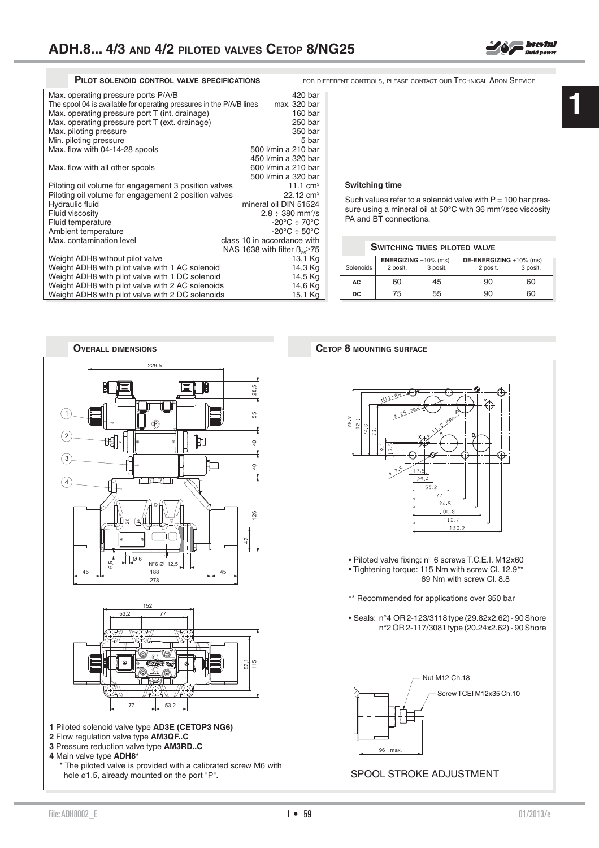1

2

3

4

**1** Piloted solenoid valve type **AD3E (CETOP3 NG6)**

 $77$  53.2

152

Ø 6

6,5

77

 $N°6$  Ø 12

278 45 | 188 | 45

229,5

P

hole ø1.5, already mounted on the port "P".

\* The piloted valve is provided with a calibrated screw M6 with

**2** Flow regulation valve type **AM3QF..C 3** Pressure reduction valve type **AM3RD..C**

**4** Main valve type **ADH8\***

| FOR DIFFERENT CONTROLS, PLEASE CONTACT OUR TECHNICAL ARON SERVICE |
|-------------------------------------------------------------------|
|                                                                   |

| Max. operating pressure ports P/A/B                                  | 420 bar                                |
|----------------------------------------------------------------------|----------------------------------------|
| The spool 04 is available for operating pressures in the P/A/B lines | max. 320 bar                           |
| Max. operating pressure port T (int. drainage)                       | 160 bar                                |
| Max. operating pressure port T (ext. drainage)                       | 250 bar                                |
| Max. piloting pressure                                               | 350 bar                                |
| Min. piloting pressure                                               | 5 bar                                  |
| Max. flow with 04-14-28 spools                                       | 500 l/min a 210 bar                    |
|                                                                      | 450 l/min a 320 bar                    |
| Max. flow with all other spools                                      | 600 l/min a 210 bar                    |
|                                                                      | 500 l/min a 320 bar                    |
| Piloting oil volume for engagement 3 position valves                 | 11.1 $cm3$                             |
| Piloting oil volume for engagement 2 position valves                 | $22.12 \text{ cm}^3$                   |
| Hydraulic fluid                                                      | mineral oil DIN 51524                  |
| Fluid viscosity                                                      | $2.8 \div 380$ mm <sup>2</sup> /s      |
| Fluid temperature                                                    | $-20^{\circ}$ C $\div$ 70 $^{\circ}$ C |
| Ambient temperature                                                  | $-20^{\circ}$ C $\div$ 50 $^{\circ}$ C |
| Max, contamination level                                             | class 10 in accordance with            |
|                                                                      | NAS 1638 with filter $B_{25} \ge 75$   |
| Weight ADH8 without pilot valve                                      | 13,1 Kg                                |
| Weight ADH8 with pilot valve with 1 AC solenoid                      | 14,3 Kg                                |
| Weight ADH8 with pilot valve with 1 DC solenoid                      | 14,5 Kg                                |
| Weight ADH8 with pilot valve with 2 AC solenoids                     | 14,6 Kg                                |
| Weight ADH8 with pilot valve with 2 DC solenoids                     | 15,1 Kg                                |

#### **Switching time**

Such values refer to a solenoid valve with  $P = 100$  bar pressure using a mineral oil at 50°C with 36 mm<sup>2</sup>/sec viscosity PA and BT connections.

|           | <b>SWITCHING TIMES PILOTED VALVE</b>                      |    |                                                 |    |  |
|-----------|-----------------------------------------------------------|----|-------------------------------------------------|----|--|
| Solenoids | <b>ENERGIZING</b> $\pm 10\%$ (ms)<br>3 posit.<br>2 posit. |    | DE-ENERGIZING ±10% (ms)<br>3 posit.<br>2 posit. |    |  |
| AC.       | 60                                                        | 45 | 90                                              | 60 |  |
| DC.       | 75                                                        | 55 | 90                                              |    |  |

#### **OVERALL DIMENSIONS CETOP 8 MOUNTING SURFACE**





#### SPOOL STROKE ADJUSTMENT

92,1 115

 $\ddot{c}$ 

28,5

55

 $\epsilon$ 

40

Ð

126